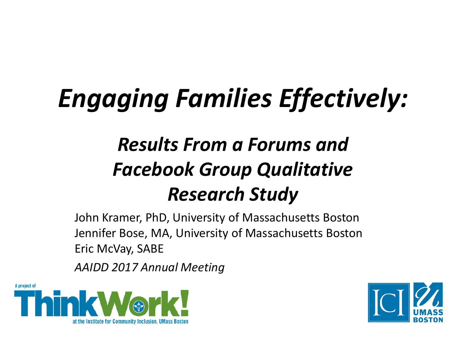### *Engaging Families Effectively:*

#### *Results From a Forums and Facebook Group Qualitative Research Study*

John Kramer, PhD, University of Massachusetts Boston Jennifer Bose, MA, University of Massachusetts Boston Eric McVay, SABE

*AAIDD 2017 Annual Meeting* 



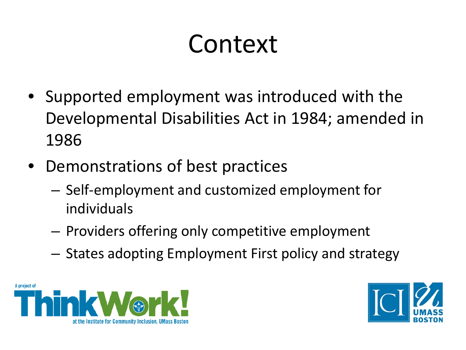#### Context

- Supported employment was introduced with the Developmental Disabilities Act in 1984; amended in 1986
- Demonstrations of best practices
	- Self-employment and customized employment for individuals
	- Providers offering only competitive employment
	- States adopting Employment First policy and strategy



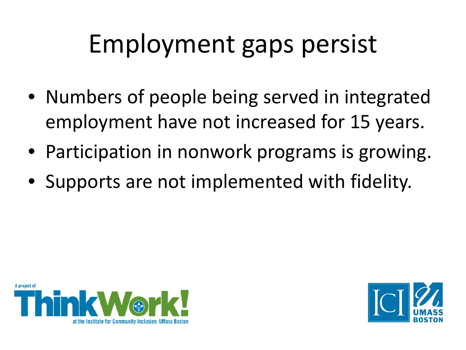#### Employment gaps persist

- Numbers of people being served in integrated employment have not increased for 15 years.
- Participation in nonwork programs is growing.
- Supports are not implemented with fidelity.



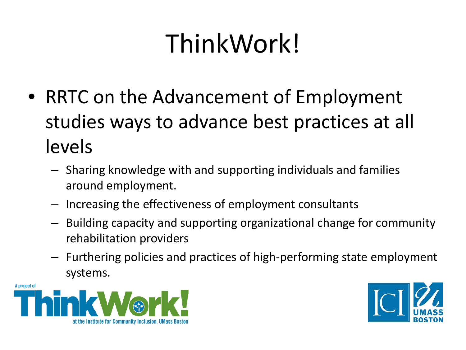## ThinkWork!

- RRTC on the Advancement of Employment studies ways to advance best practices at all levels
	- Sharing knowledge with and supporting individuals and families around employment.
	- Increasing the effectiveness of employment consultants
	- Building capacity and supporting organizational change for community rehabilitation providers
	- Furthering policies and practices of high-performing state employment systems.



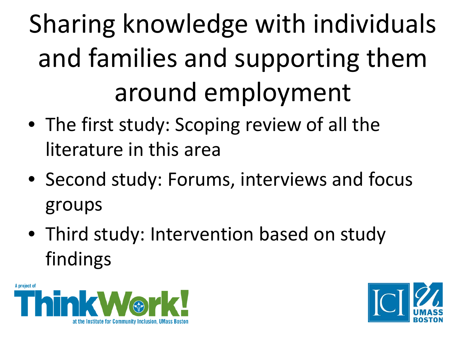Sharing knowledge with individuals and families and supporting them around employment

- The first study: Scoping review of all the literature in this area
- Second study: Forums, interviews and focus groups
- Third study: Intervention based on study findings



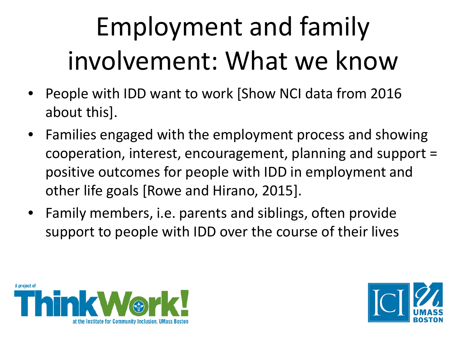# Employment and family involvement: What we know

- People with IDD want to work [Show NCI data from 2016 about this].
- Families engaged with the employment process and showing cooperation, interest, encouragement, planning and support = positive outcomes for people with IDD in employment and other life goals [Rowe and Hirano, 2015].
- Family members, i.e. parents and siblings, often provide support to people with IDD over the course of their lives



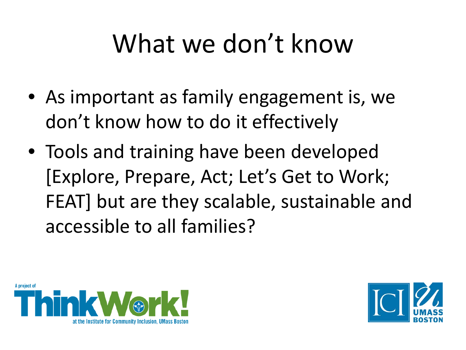#### What we don't know

- As important as family engagement is, we don't know how to do it effectively
- Tools and training have been developed [Explore, Prepare, Act; Let's Get to Work; FEAT] but are they scalable, sustainable and accessible to all families?



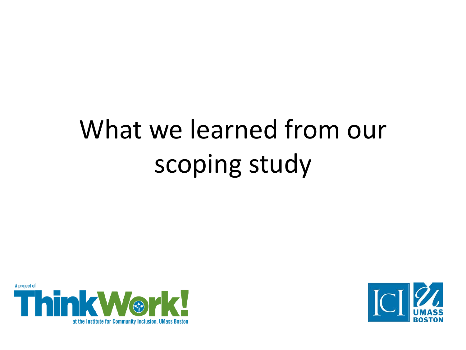# What we learned from our scoping study



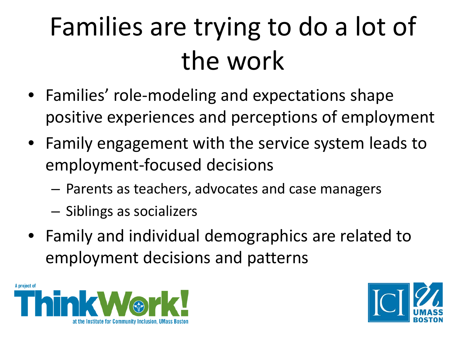# Families are trying to do a lot of the work

- Families' role-modeling and expectations shape positive experiences and perceptions of employment
- Family engagement with the service system leads to employment-focused decisions
	- Parents as teachers, advocates and case managers
	- Siblings as socializers
- Family and individual demographics are related to employment decisions and patterns



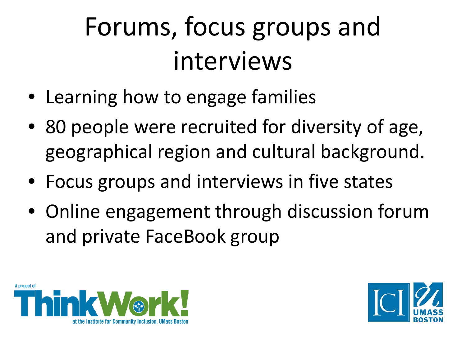# Forums, focus groups and interviews

- Learning how to engage families
- 80 people were recruited for diversity of age, geographical region and cultural background.
- Focus groups and interviews in five states
- Online engagement through discussion forum and private FaceBook group



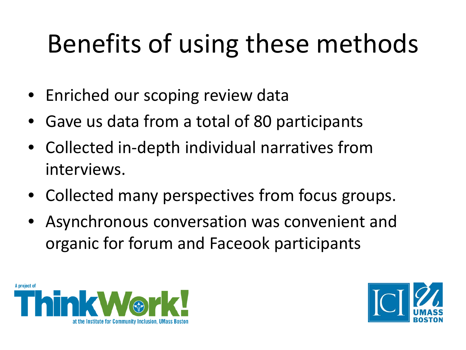## Benefits of using these methods

- Enriched our scoping review data
- Gave us data from a total of 80 participants
- Collected in-depth individual narratives from interviews.
- Collected many perspectives from focus groups.
- Asynchronous conversation was convenient and organic for forum and Faceook participants



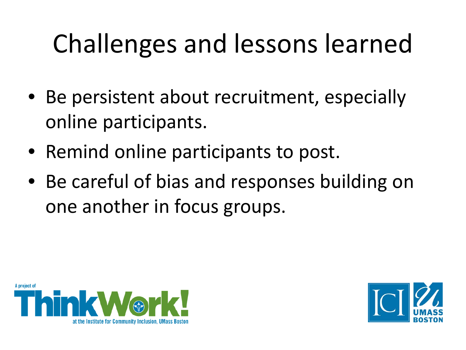## Challenges and lessons learned

- Be persistent about recruitment, especially online participants.
- Remind online participants to post.
- Be careful of bias and responses building on one another in focus groups.



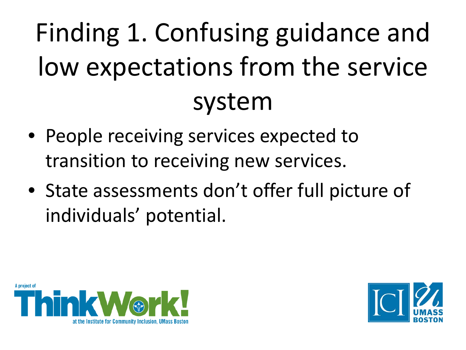# Finding 1. Confusing guidance and low expectations from the service system

- People receiving services expected to transition to receiving new services.
- State assessments don't offer full picture of individuals' potential.



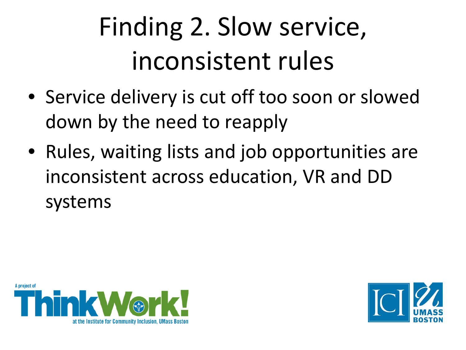# Finding 2. Slow service, inconsistent rules

- Service delivery is cut off too soon or slowed down by the need to reapply
- Rules, waiting lists and job opportunities are inconsistent across education, VR and DD systems



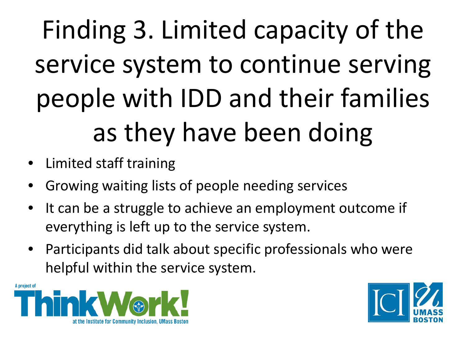Finding 3. Limited capacity of the service system to continue serving people with IDD and their families as they have been doing

- Limited staff training
- Growing waiting lists of people needing services
- It can be a struggle to achieve an employment outcome if everything is left up to the service system.
- Participants did talk about specific professionals who were helpful within the service system.



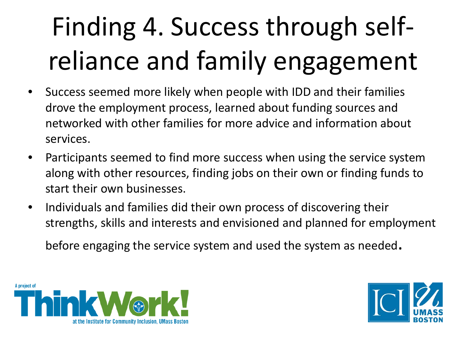# Finding 4. Success through selfreliance and family engagement

- Success seemed more likely when people with IDD and their families drove the employment process, learned about funding sources and networked with other families for more advice and information about services.
- Participants seemed to find more success when using the service system along with other resources, finding jobs on their own or finding funds to start their own businesses.
- Individuals and families did their own process of discovering their strengths, skills and interests and envisioned and planned for employment

before engaging the service system and used the system as needed.



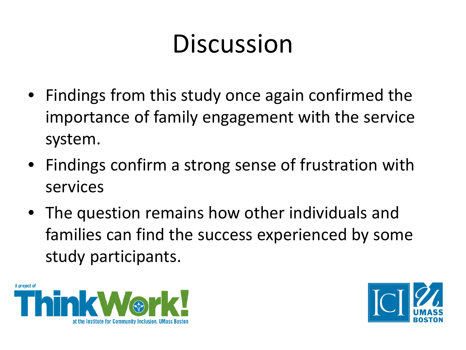### Discussion

- Findings from this study once again confirmed the importance of family engagement with the service system.
- Findings confirm a strong sense of frustration with services
- The question remains how other individuals and families can find the success experienced by some study participants.



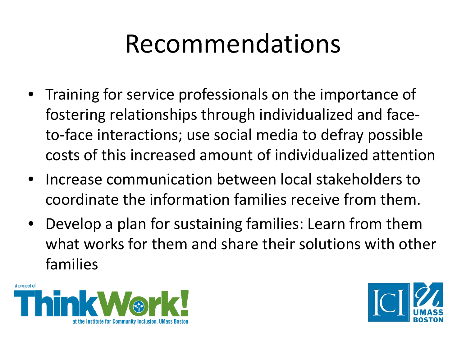#### Recommendations

- Training for service professionals on the importance of fostering relationships through individualized and faceto-face interactions; use social media to defray possible costs of this increased amount of individualized attention
- Increase communication between local stakeholders to coordinate the information families receive from them.
- Develop a plan for sustaining families: Learn from them what works for them and share their solutions with other families